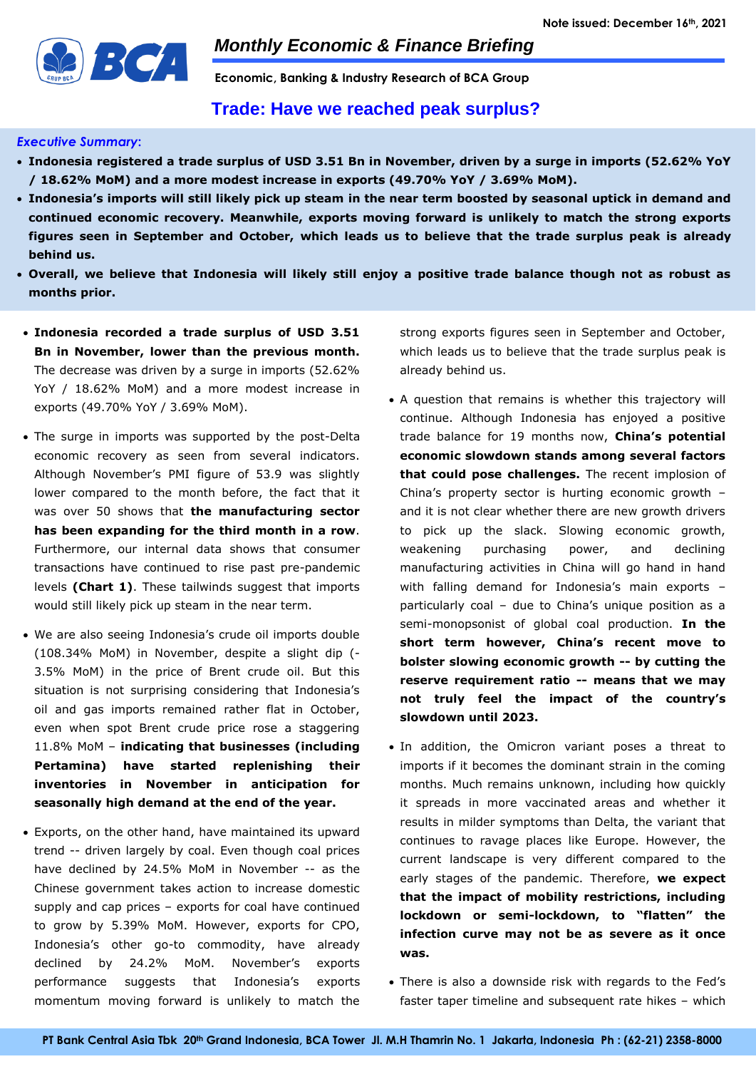

*Monthly Economic & Finance Briefing*

**Economic, Banking & Industry Research of BCA Group** 

# **Trade: Have we reached peak surplus?**

## *Executive Summary***:**

- **Indonesia registered a trade surplus of USD 3.51 Bn in November, driven by a surge in imports (52.62% YoY / 18.62% MoM) and a more modest increase in exports (49.70% YoY / 3.69% MoM).**
- **Indonesia's imports will still likely pick up steam in the near term boosted by seasonal uptick in demand and continued economic recovery. Meanwhile, exports moving forward is unlikely to match the strong exports figures seen in September and October, which leads us to believe that the trade surplus peak is already behind us.**
- **Overall, we believe that Indonesia will likely still enjoy a positive trade balance though not as robust as months prior.**
- **Indonesia recorded a trade surplus of USD 3.51 Bn in November, lower than the previous month.**  The decrease was driven by a surge in imports (52.62% YoY / 18.62% MoM) and a more modest increase in exports (49.70% YoY / 3.69% MoM).
- The surge in imports was supported by the post-Delta economic recovery as seen from several indicators. Although November's PMI figure of 53.9 was slightly lower compared to the month before, the fact that it was over 50 shows that **the manufacturing sector has been expanding for the third month in a row**. Furthermore, our internal data shows that consumer transactions have continued to rise past pre-pandemic levels **(Chart 1)**. These tailwinds suggest that imports would still likely pick up steam in the near term.
- We are also seeing Indonesia's crude oil imports double (108.34% MoM) in November, despite a slight dip (- 3.5% MoM) in the price of Brent crude oil. But this situation is not surprising considering that Indonesia's oil and gas imports remained rather flat in October, even when spot Brent crude price rose a staggering 11.8% MoM – **indicating that businesses (including Pertamina) have started replenishing their inventories in November in anticipation for seasonally high demand at the end of the year.**
- Exports, on the other hand, have maintained its upward trend -- driven largely by coal. Even though coal prices have declined by 24.5% MoM in November -- as the Chinese government takes action to increase domestic supply and cap prices – exports for coal have continued to grow by 5.39% MoM. However, exports for CPO, Indonesia's other go-to commodity, have already declined by 24.2% MoM. November's exports performance suggests that Indonesia's exports momentum moving forward is unlikely to match the

strong exports figures seen in September and October, which leads us to believe that the trade surplus peak is already behind us.

- A question that remains is whether this trajectory will continue. Although Indonesia has enjoyed a positive trade balance for 19 months now, **China's potential economic slowdown stands among several factors that could pose challenges.** The recent implosion of China's property sector is hurting economic growth – and it is not clear whether there are new growth drivers to pick up the slack. Slowing economic growth, weakening purchasing power, and declining manufacturing activities in China will go hand in hand with falling demand for Indonesia's main exports – particularly coal – due to China's unique position as a semi-monopsonist of global coal production. **In the short term however, China's recent move to bolster slowing economic growth -- by cutting the reserve requirement ratio -- means that we may not truly feel the impact of the country's slowdown until 2023.**
- In addition, the Omicron variant poses a threat to imports if it becomes the dominant strain in the coming months. Much remains unknown, including how quickly it spreads in more vaccinated areas and whether it results in milder symptoms than Delta, the variant that continues to ravage places like Europe. However, the current landscape is very different compared to the early stages of the pandemic. Therefore, **we expect that the impact of mobility restrictions, including lockdown or semi-lockdown, to "flatten" the infection curve may not be as severe as it once was.**
- There is also a downside risk with regards to the Fed's faster taper timeline and subsequent rate hikes – which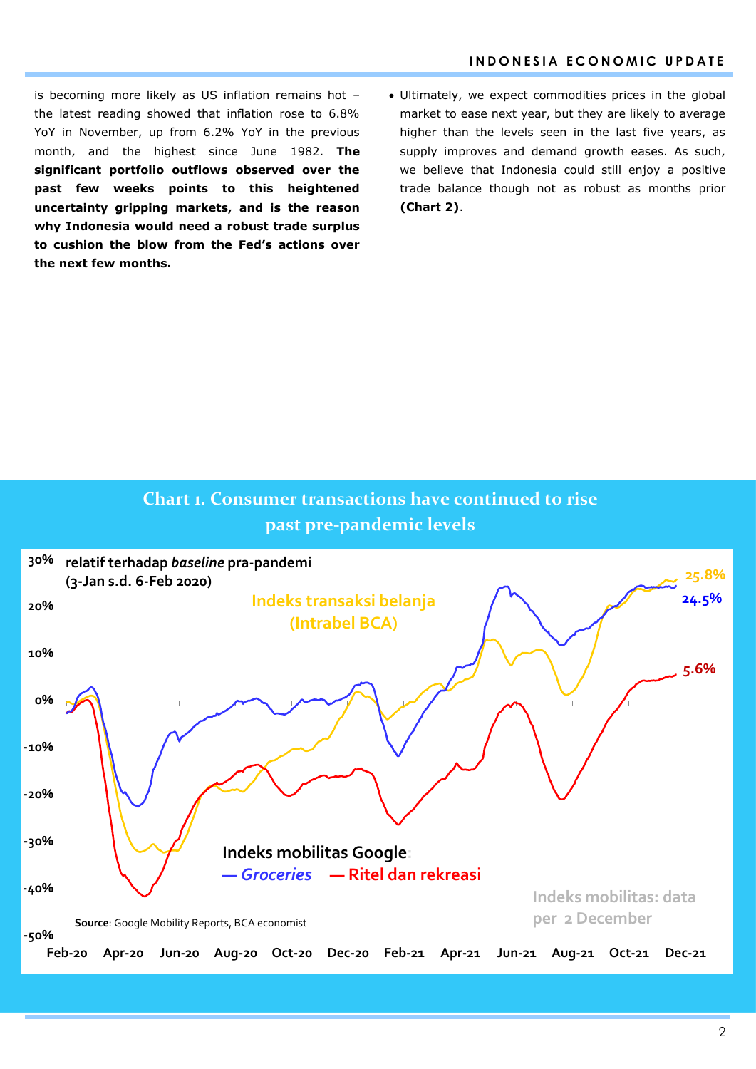is becoming more likely as US inflation remains hot – the latest reading showed that inflation rose to 6.8% YoY in November, up from 6.2% YoY in the previous month, and the highest since June 1982. **The significant portfolio outflows observed over the past few weeks points to this heightened uncertainty gripping markets, and is the reason why Indonesia would need a robust trade surplus to cushion the blow from the Fed's actions over the next few months.**

 Ultimately, we expect commodities prices in the global market to ease next year, but they are likely to average higher than the levels seen in the last five years, as supply improves and demand growth eases. As such, we believe that Indonesia could still enjoy a positive trade balance though not as robust as months prior **(Chart 2)**.

# **Chart 1. Consumer transactions have continued to rise past pre-pandemic levels**

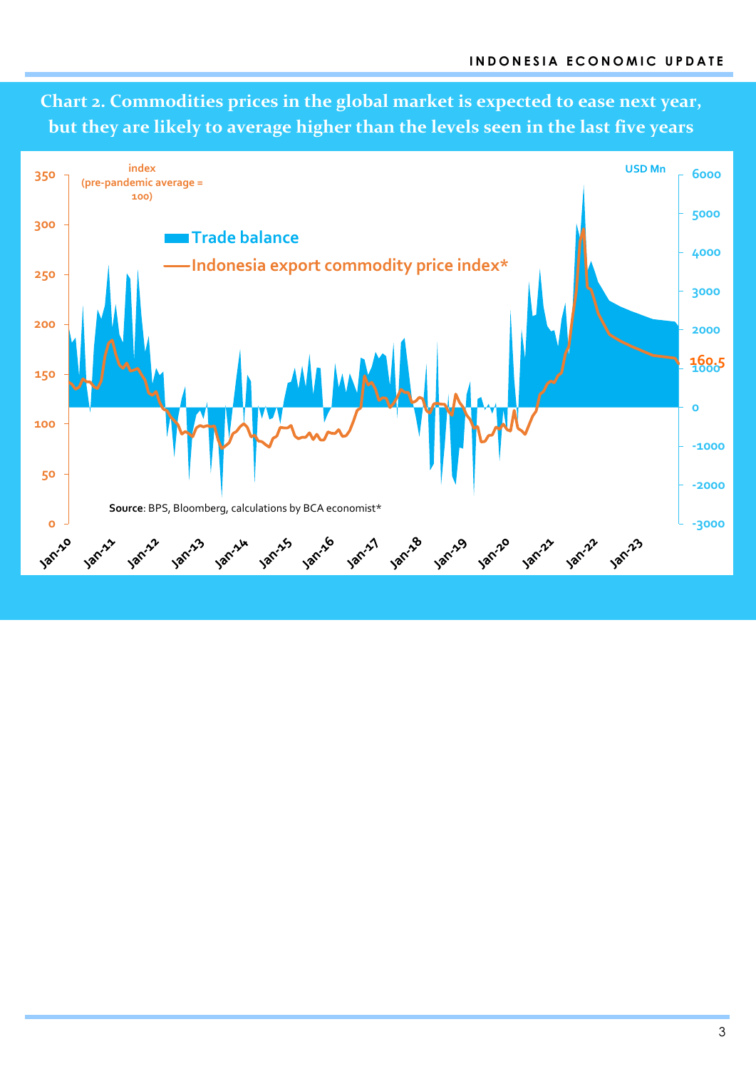**Chart 2. Commodities prices in the global market is expected to ease next year, but they are likely to average higher than the levels seen in the last five years**

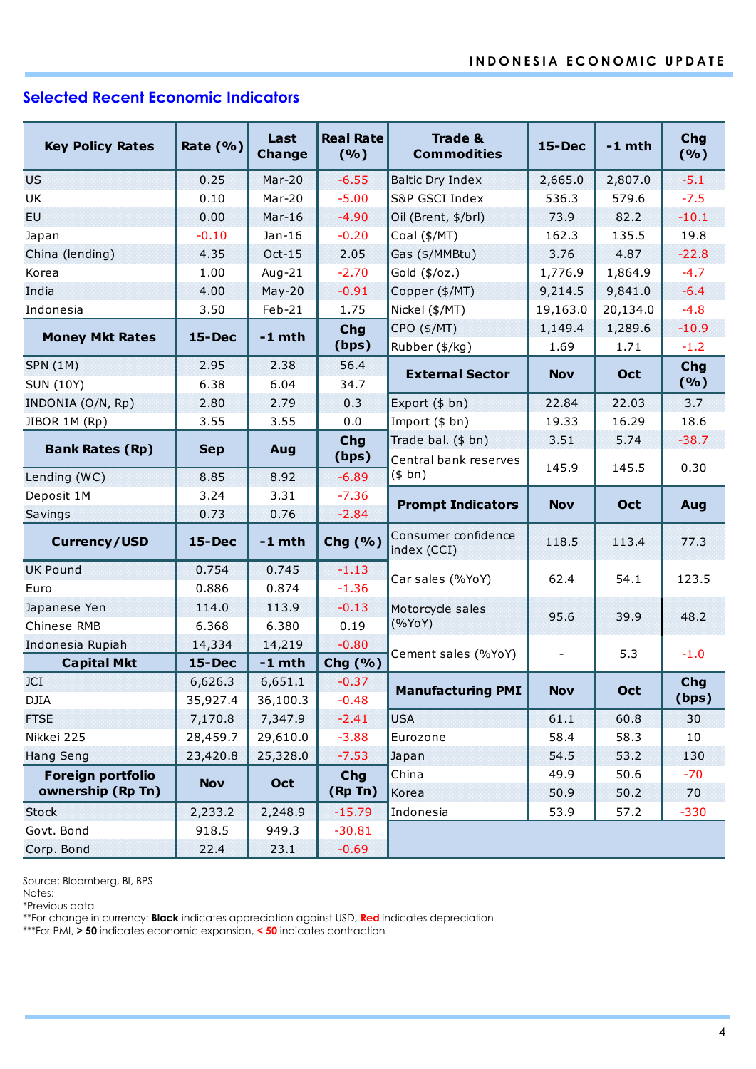# **Selected Recent Economic Indicators**

|                         |               | Last<br><b>Change</b> | <b>Real Rate</b>               | <b>Trade &amp;</b>                 |                          | $-1$ mth | Chg<br>(%) |
|-------------------------|---------------|-----------------------|--------------------------------|------------------------------------|--------------------------|----------|------------|
| <b>Key Policy Rates</b> | Rate $(% )$   |                       | (9/6)                          | <b>Commodities</b>                 | $15 - Dec$               |          |            |
| <b>US</b>               | 0.25          | $Mar-20$              | $-6.55$<br>Baltic Dry Index    |                                    | 2,665.0                  | 2,807.0  | $-5.1$     |
| UK                      | 0.10          | Mar-20                | $-5.00$                        | S&P GSCI Index                     | 536.3                    | 579.6    | $-7.5$     |
| EU.                     | 0.00          | $Mar-16$              | $-4.90$<br>Oil (Brent, \$/brl) |                                    | 73.9                     | 82.2     | $-10.1$    |
| Japan                   | $-0.10$       | $Jan-16$              | $-0.20$                        | Coal (\$/MT)                       | 162.3                    | 135.5    | 19.8       |
| China (lending)         | 4.35          | $Oct-15$              | 2.05                           | Gas (\$/MMBtu)                     | 3.76                     |          | $-22.8$    |
| Korea                   | 1.00          | Aug-21                | $-2.70$                        | Gold (\$/oz.)                      | 1,776.9                  | 1,864.9  | $-4.7$     |
| India                   | 4.00          | $May-20$              | $-0.91$                        | Copper (\$/MT)                     | 9,214.5                  | 9,841.0  | $-6.4$     |
| Indonesia               | 3.50          | Feb-21                | 1.75                           | Nickel (\$/MT)                     | 19,163.0                 | 20,134.0 | $-4.8$     |
|                         | <b>15-Dec</b> | $-1$ mth              | <b>Chg</b>                     | CPO (\$/MT)                        | 1,149.4                  | 1,289.6  | $-10.9$    |
| <b>Money Mkt Rates</b>  |               |                       | (bps)                          | Rubber (\$/kg)                     | 1.69                     | 1.71     | $-1.2$     |
| <b>SPN (1M)</b>         | 2.95          | 2.38                  | 56.4                           | <b>External Sector</b>             | <b>Nov</b>               | Oct      | <b>Chg</b> |
| <b>SUN (10Y)</b>        | 6.38          | 6.04                  | 34.7                           |                                    |                          |          | (%)        |
| INDONIA (O/N, Rp)       | 2.80          | 2.79                  | 0.3                            | Export (\$ bn)                     | 22.84                    | 22.03    | 3.7        |
| JIBOR 1M (Rp)           | 3.55          | 3.55                  | 0.0                            | Import (\$ bn)                     | 19.33                    | 16.29    | 18.6       |
| <b>Bank Rates (Rp)</b>  | <b>Sep</b>    | Aug                   | Chg                            | Trade bal. (\$ bn)                 | 3.51                     | 5.74     | $-38.7$    |
|                         |               |                       | (bps)                          | Central bank reserves              | 145.9                    | 145.5    | 0.30       |
| Lending (WC)            | 8.85          | 8.92                  | $-6.89$                        | (\$bn)                             |                          |          |            |
| Deposit 1M              | 3.24          | 3.31                  | $-7.36$                        | <b>Prompt Indicators</b>           | <b>Nov</b>               | Oct      | Aug        |
| Savings                 | 0.73          | 0.76                  | $-2.84$                        |                                    |                          |          |            |
| <b>Currency/USD</b>     | $15 - Dec$    | $-1$ mth              | Chg (%)                        | Consumer confidence<br>index (CCI) | 118.5                    | 113.4    | 77.3       |
| <b>UK Pound</b>         | 0.754         | 0.745                 | $-1.13$                        | Car sales (%YoY)                   | 62.4                     | 54.1     | 123.5      |
| Euro                    | 0.886         | 0.874                 | $-1.36$                        |                                    |                          |          |            |
| Japanese Yen            | 114.0         | 113.9                 | $-0.13$                        | Motorcycle sales                   | 95.6                     | 39.9     | 48.2       |
| Chinese RMB             | 6.368         | 6.380                 | 0.19                           | (%YoY)                             |                          |          |            |
| Indonesia Rupiah        | 14,334        | 14,219                | $-0.80$                        | Cement sales (%YoY)                | $\overline{\phantom{a}}$ | 5.3      | $-1.0$     |
| <b>Capital Mkt</b>      | <b>15-Dec</b> | $-1$ mth              | Chg (%)                        |                                    |                          |          |            |
| JCI                     | 6,626.3       | 6,651.1               | $-0.37$                        | <b>Manufacturing PMI</b>           | <b>Nov</b>               | Oct      | Chg        |
| DJIA                    | 35,927.4      | 36,100.3              | $-0.48$                        |                                    |                          |          | (bps)      |
| <b>FTSE</b>             | 7,170.8       | 7,347.9               | $-2.41$                        | <b>USA</b>                         | 61.1                     | 60.8     | 30         |
| Nikkei 225              | 28,459.7      | 29,610.0              | $-3.88$                        | Eurozone                           | 58.4                     | 58.3     | 10         |
| <b>Hang Seng</b>        | 23,420.8      | 25,328.0              | $-7.53$                        | Japan                              | 54.5                     | 53.2     | 130        |
| Foreign portfolio       | <b>Nov</b>    | Oct                   | <b>Chg</b>                     | China                              | 49.9                     | 50.6     | $-70$      |
| ownership (Rp Tn)       |               |                       | (Rp Tn)                        | Korea                              | 50.9                     | 50.2     | 70         |
| <b>Stock</b>            | 2,233.2       | 2,248.9               | $-15.79$                       | Indonesia                          | 53.9                     | 57.2     | $-330$     |
| Govt. Bond              | 918.5         | 949.3                 | $-30.81$                       |                                    |                          |          |            |
| Corp. Bond              | 22.4          | 23.1                  | $-0.69$                        |                                    |                          |          |            |

Source: Bloomberg, BI, BPS

Notes:

\*Previous data

\*\*For change in currency: **Black** indicates appreciation against USD, **Red** indicates depreciation

\*\*\*For PMI, **> 50** indicates economic expansion, **< 50** indicates contraction